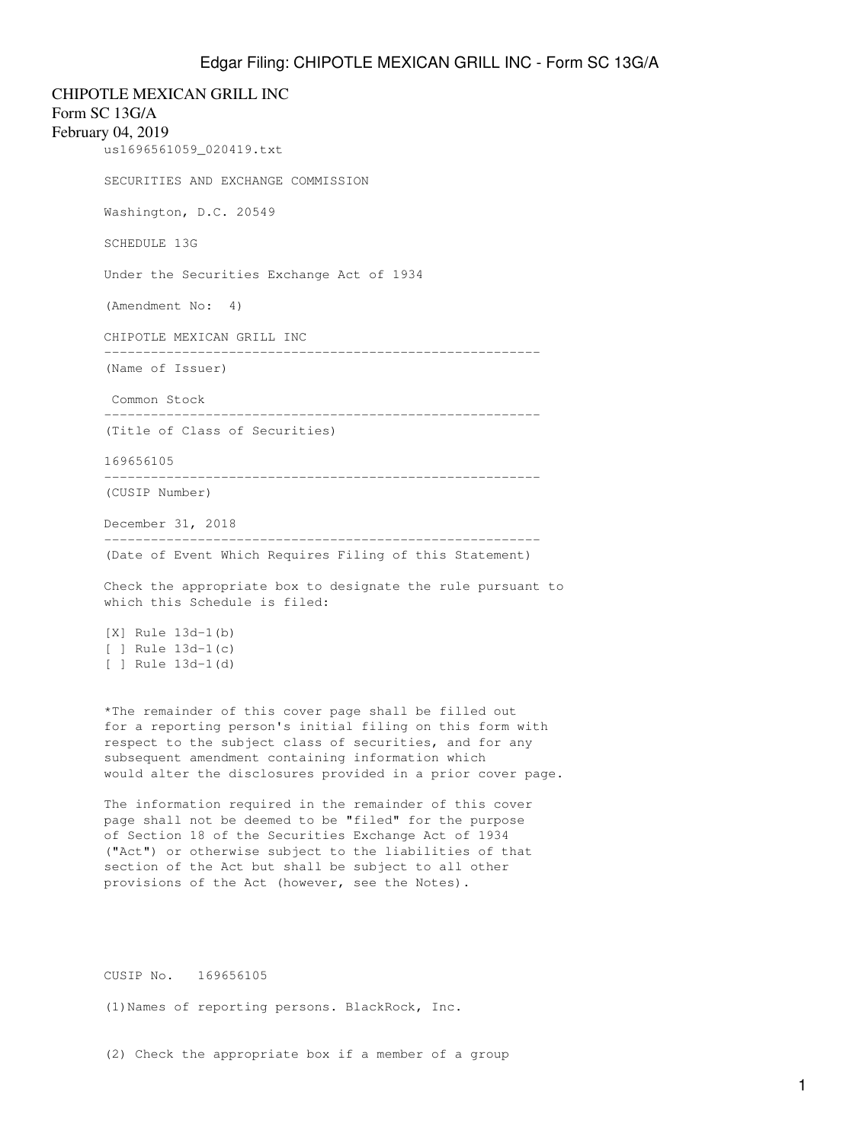CHIPOTLE MEXICAN GRILL INC Form SC 13G/A February 04, 2019 us1696561059\_020419.txt SECURITIES AND EXCHANGE COMMISSION Washington, D.C. 20549 SCHEDULE 13G Under the Securities Exchange Act of 1934 (Amendment No: 4) CHIPOTLE MEXICAN GRILL INC -------------------------------------------------------- (Name of Issuer) Common Stock -------------------------------------------------------- (Title of Class of Securities) 169656105 -------------------------------------------------------- (CUSIP Number) December 31, 2018 -------------------------------------------------------- (Date of Event Which Requires Filing of this Statement) Check the appropriate box to designate the rule pursuant to which this Schedule is filed: [X] Rule 13d-1(b) [ ] Rule 13d-1(c) [ ] Rule 13d-1(d) \*The remainder of this cover page shall be filled out for a reporting person's initial filing on this form with respect to the subject class of securities, and for any subsequent amendment containing information which would alter the disclosures provided in a prior cover page. The information required in the remainder of this cover

page shall not be deemed to be "filed" for the purpose of Section 18 of the Securities Exchange Act of 1934 ("Act") or otherwise subject to the liabilities of that section of the Act but shall be subject to all other provisions of the Act (however, see the Notes).

CUSIP No. 169656105

(1)Names of reporting persons. BlackRock, Inc.

(2) Check the appropriate box if a member of a group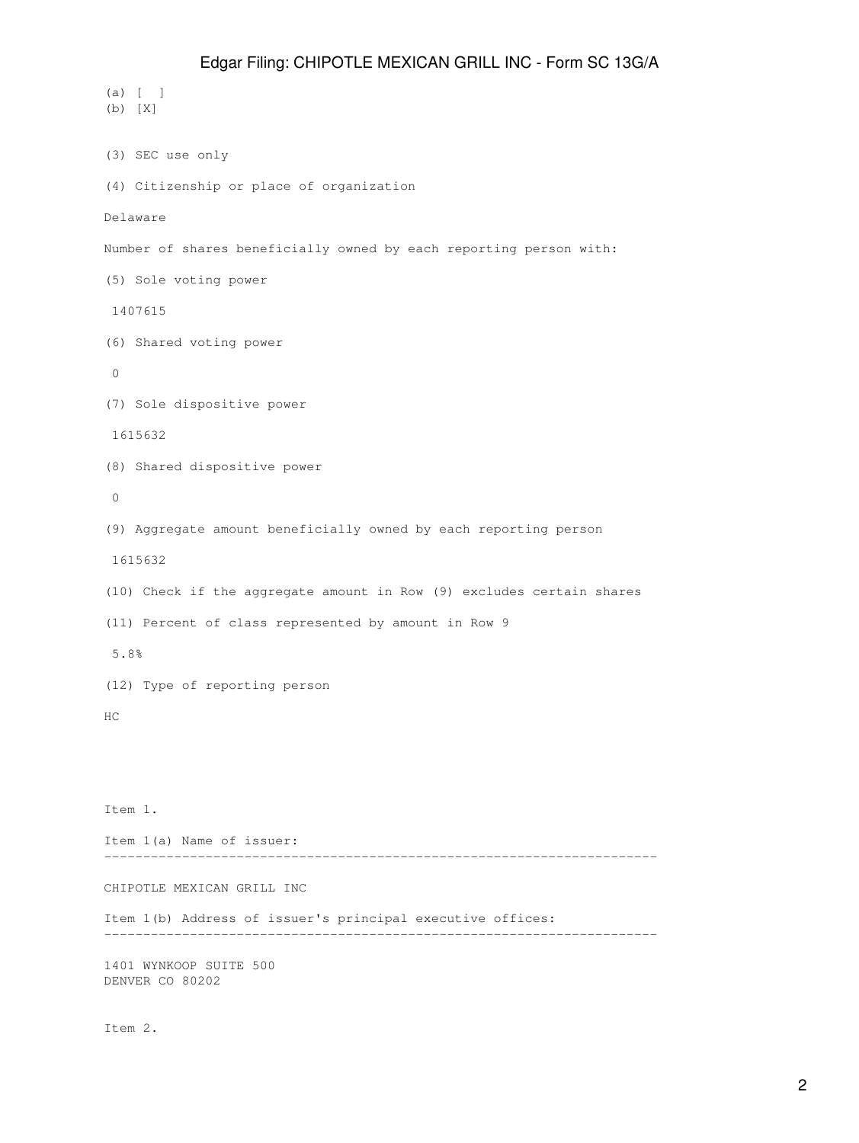(a) [ ] (b) [X] (3) SEC use only (4) Citizenship or place of organization Delaware Number of shares beneficially owned by each reporting person with: (5) Sole voting power 1407615 (6) Shared voting power 0 (7) Sole dispositive power 1615632 (8) Shared dispositive power 0 (9) Aggregate amount beneficially owned by each reporting person 1615632 (10) Check if the aggregate amount in Row (9) excludes certain shares (11) Percent of class represented by amount in Row 9 5.8% (12) Type of reporting person HC Item 1. Item 1(a) Name of issuer: ----------------------------------------------------------------------- CHIPOTLE MEXICAN GRILL INC Item 1(b) Address of issuer's principal executive offices: ----------------------------------------------------------------------- 1401 WYNKOOP SUITE 500 DENVER CO 80202

Item 2.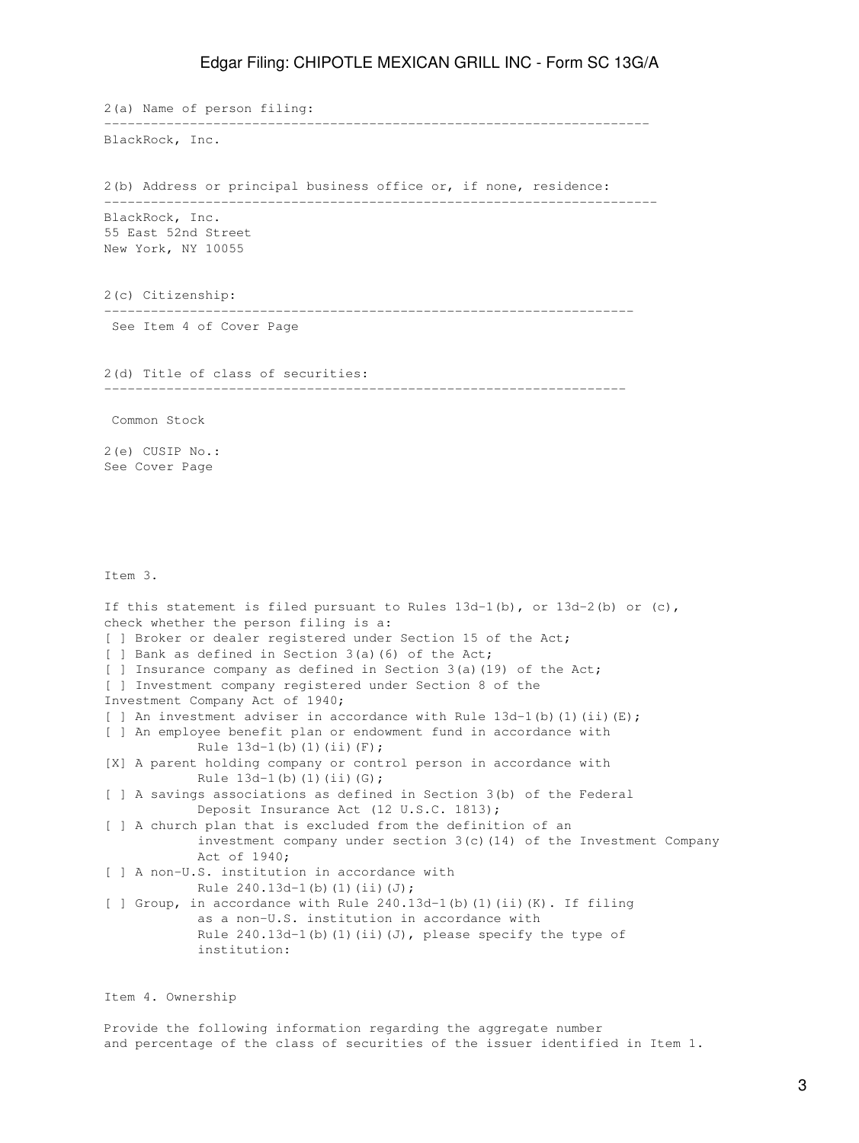2(a) Name of person filing: ---------------------------------------------------------------------- BlackRock, Inc. 2(b) Address or principal business office or, if none, residence: ----------------------------------------------------------------------- BlackRock, Inc. 55 East 52nd Street New York, NY 10055 2(c) Citizenship: -------------------------------------------------------------------- See Item 4 of Cover Page 2(d) Title of class of securities: ------------------------------------------------------------------- Common Stock 2(e) CUSIP No.: See Cover Page Item 3. If this statement is filed pursuant to Rules  $13d-1(b)$ , or  $13d-2(b)$  or  $(c)$ , check whether the person filing is a: [ ] Broker or dealer registered under Section 15 of the Act; [ ] Bank as defined in Section 3(a)(6) of the Act; [ ] Insurance company as defined in Section 3(a)(19) of the Act; [ ] Investment company registered under Section 8 of the Investment Company Act of 1940; [ ] An investment adviser in accordance with Rule  $13d-1$  (b) (1) (ii) (E); [ ] An employee benefit plan or endowment fund in accordance with Rule  $13d-1(b)$  (1)(ii)(F); [X] A parent holding company or control person in accordance with Rule  $13d-1(b)$  (1)(ii)(G); [ ] A savings associations as defined in Section 3(b) of the Federal Deposit Insurance Act (12 U.S.C. 1813); [ ] A church plan that is excluded from the definition of an investment company under section 3(c)(14) of the Investment Company Act of 1940; [ ] A non-U.S. institution in accordance with Rule  $240.13d-1(b)(1)(ii)(J);$ [ ] Group, in accordance with Rule 240.13d-1(b)(1)(ii)(K). If filing as a non-U.S. institution in accordance with Rule  $240.13d-1$ (b)(1)(ii)(J), please specify the type of institution:

Item 4. Ownership

Provide the following information regarding the aggregate number and percentage of the class of securities of the issuer identified in Item 1.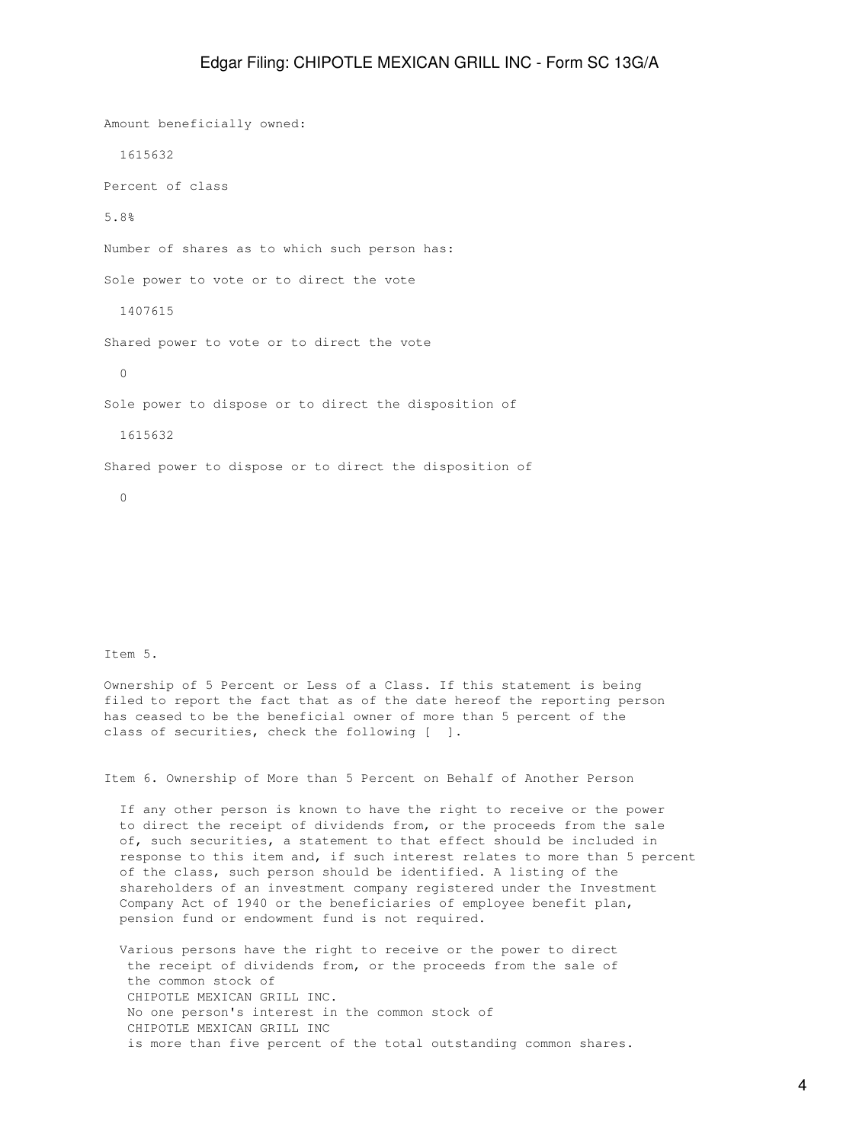Amount beneficially owned: 1615632 Percent of class 5.8% Number of shares as to which such person has: Sole power to vote or to direct the vote 1407615 Shared power to vote or to direct the vote 0 Sole power to dispose or to direct the disposition of 1615632 Shared power to dispose or to direct the disposition of 0

Item 5.

Ownership of 5 Percent or Less of a Class. If this statement is being filed to report the fact that as of the date hereof the reporting person has ceased to be the beneficial owner of more than 5 percent of the class of securities, check the following [ ].

Item 6. Ownership of More than 5 Percent on Behalf of Another Person

 If any other person is known to have the right to receive or the power to direct the receipt of dividends from, or the proceeds from the sale of, such securities, a statement to that effect should be included in response to this item and, if such interest relates to more than 5 percent of the class, such person should be identified. A listing of the shareholders of an investment company registered under the Investment Company Act of 1940 or the beneficiaries of employee benefit plan, pension fund or endowment fund is not required.

 Various persons have the right to receive or the power to direct the receipt of dividends from, or the proceeds from the sale of the common stock of CHIPOTLE MEXICAN GRILL INC. No one person's interest in the common stock of CHIPOTLE MEXICAN GRILL INC is more than five percent of the total outstanding common shares.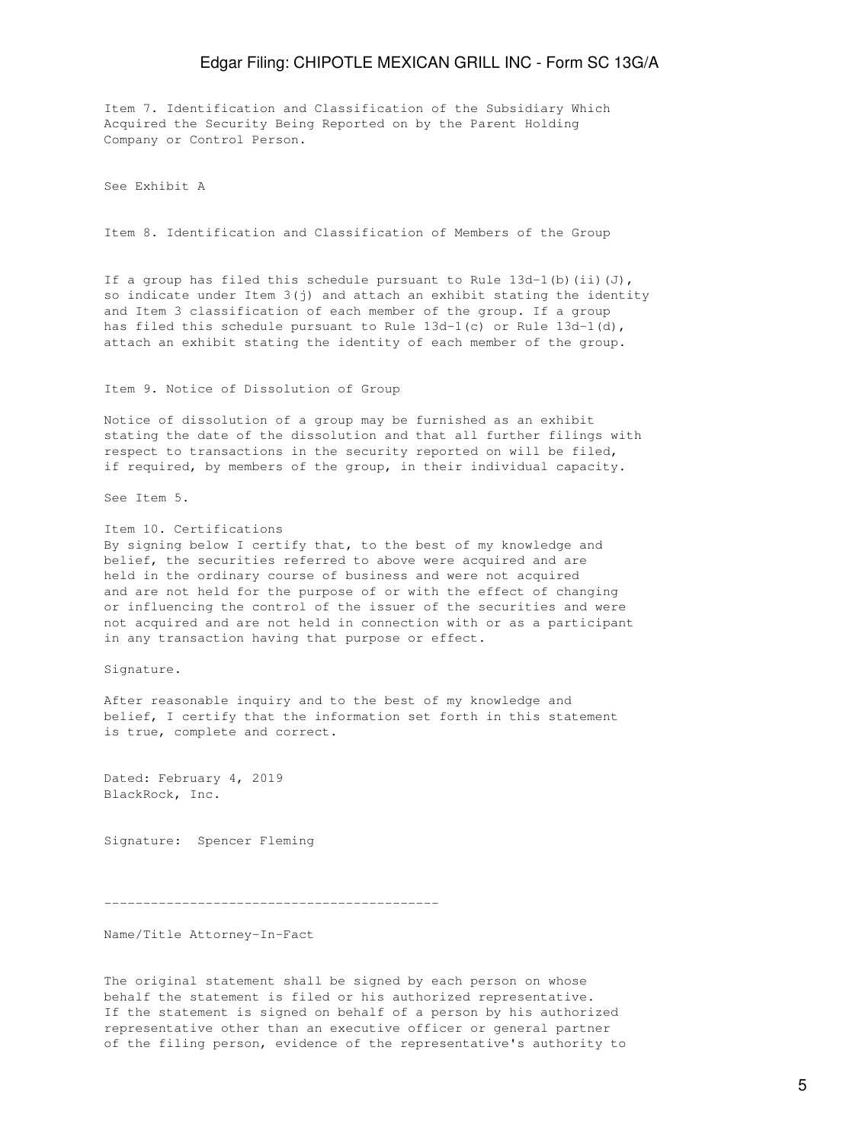Item 7. Identification and Classification of the Subsidiary Which Acquired the Security Being Reported on by the Parent Holding Company or Control Person.

See Exhibit A

Item 8. Identification and Classification of Members of the Group

If a group has filed this schedule pursuant to Rule  $13d-1$  (b) (ii)(J), so indicate under Item  $3(j)$  and attach an exhibit stating the identity and Item 3 classification of each member of the group. If a group has filed this schedule pursuant to Rule 13d-1(c) or Rule 13d-1(d), attach an exhibit stating the identity of each member of the group.

Item 9. Notice of Dissolution of Group

Notice of dissolution of a group may be furnished as an exhibit stating the date of the dissolution and that all further filings with respect to transactions in the security reported on will be filed, if required, by members of the group, in their individual capacity.

See Item 5.

Item 10. Certifications By signing below I certify that, to the best of my knowledge and belief, the securities referred to above were acquired and are held in the ordinary course of business and were not acquired and are not held for the purpose of or with the effect of changing or influencing the control of the issuer of the securities and were not acquired and are not held in connection with or as a participant in any transaction having that purpose or effect.

Signature.

After reasonable inquiry and to the best of my knowledge and belief, I certify that the information set forth in this statement is true, complete and correct.

Dated: February 4, 2019 BlackRock, Inc.

Signature: Spencer Fleming

-------------------------------------------

Name/Title Attorney-In-Fact

The original statement shall be signed by each person on whose behalf the statement is filed or his authorized representative. If the statement is signed on behalf of a person by his authorized representative other than an executive officer or general partner of the filing person, evidence of the representative's authority to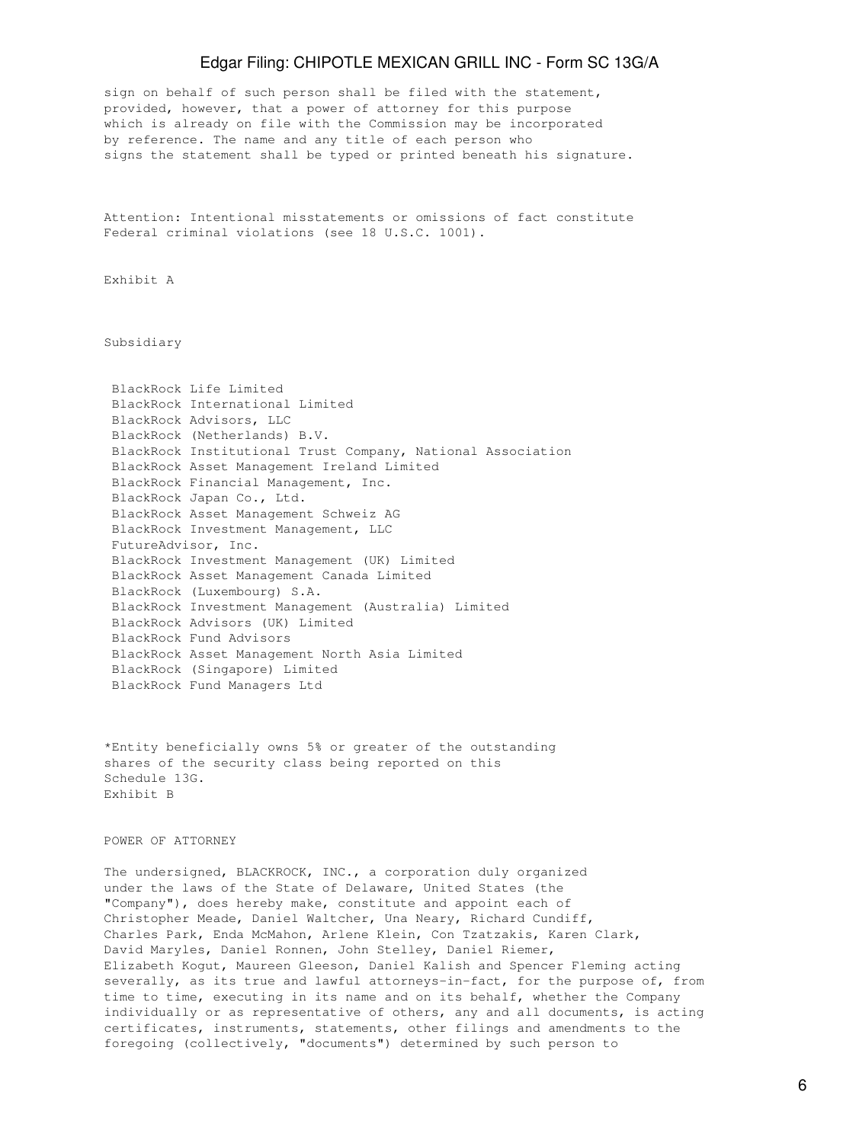sign on behalf of such person shall be filed with the statement, provided, however, that a power of attorney for this purpose which is already on file with the Commission may be incorporated by reference. The name and any title of each person who signs the statement shall be typed or printed beneath his signature.

Attention: Intentional misstatements or omissions of fact constitute Federal criminal violations (see 18 U.S.C. 1001).

Exhibit A

Subsidiary

|                     | BlackRock Life Limited                                      |
|---------------------|-------------------------------------------------------------|
|                     | BlackRock International Limited                             |
|                     | BlackRock Advisors, LLC                                     |
|                     | BlackRock (Netherlands) B.V.                                |
|                     | BlackRock Institutional Trust Company, National Association |
|                     | BlackRock Asset Management Ireland Limited                  |
|                     | BlackRock Financial Management, Inc.                        |
|                     | BlackRock Japan Co., Ltd.                                   |
|                     | BlackRock Asset Management Schweiz AG                       |
|                     | BlackRock Investment Management, LLC                        |
| FutureAdvisor, Inc. |                                                             |
|                     | BlackRock Investment Management (UK) Limited                |
|                     | BlackRock Asset Management Canada Limited                   |
|                     | BlackRock (Luxembourg) S.A.                                 |
|                     | BlackRock Investment Management (Australia) Limited         |
|                     | BlackRock Advisors (UK) Limited                             |
|                     | BlackRock Fund Advisors                                     |
|                     | BlackRock Asset Management North Asia Limited               |
|                     | BlackRock (Singapore) Limited                               |
|                     | BlackRock Fund Managers Ltd                                 |
|                     |                                                             |

\*Entity beneficially owns 5% or greater of the outstanding shares of the security class being reported on this Schedule 13G. Exhibit B

#### POWER OF ATTORNEY

The undersigned, BLACKROCK, INC., a corporation duly organized under the laws of the State of Delaware, United States (the "Company"), does hereby make, constitute and appoint each of Christopher Meade, Daniel Waltcher, Una Neary, Richard Cundiff, Charles Park, Enda McMahon, Arlene Klein, Con Tzatzakis, Karen Clark, David Maryles, Daniel Ronnen, John Stelley, Daniel Riemer, Elizabeth Kogut, Maureen Gleeson, Daniel Kalish and Spencer Fleming acting severally, as its true and lawful attorneys-in-fact, for the purpose of, from time to time, executing in its name and on its behalf, whether the Company individually or as representative of others, any and all documents, is acting certificates, instruments, statements, other filings and amendments to the foregoing (collectively, "documents") determined by such person to